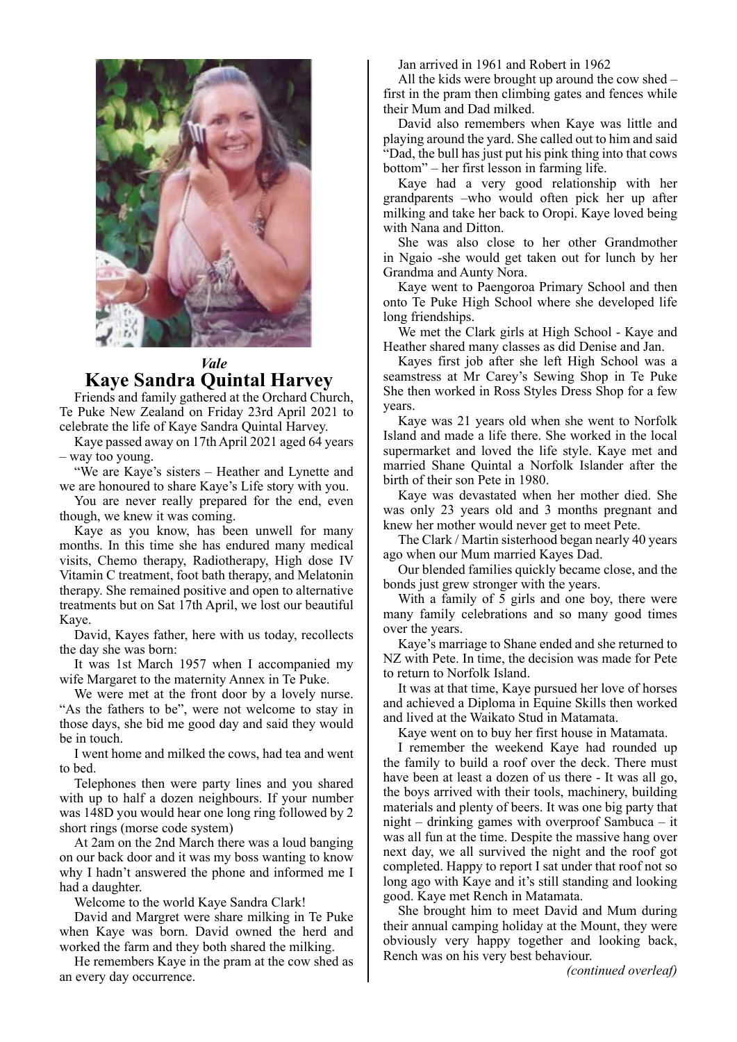

## *Vale*  **Kaye Sandra Quintal Harvey**

Friends and family gathered at the Orchard Church, Te Puke New Zealand on Friday 23rd April 2021 to celebrate the life of Kaye Sandra Quintal Harvey.

Kaye passed away on 17th April 2021 aged 64 years way too young.

"We are Kaye's sisters – Heather and Lynette and we are honoured to share Kaye's Life story with you.

You are never really prepared for the end, even though, we knew it was coming.

Kaye as you know, has been unwell for many months. In this time she has endured many medical visits, Chemo therapy, Radiotherapy, High dose IV Vitamin C treatment, foot bath therapy, and Melatonin therapy. She remained positive and open to alternative treatments but on Sat 17th April, we lost our beautiful Kaye.

David, Kayes father, here with us today, recollects the day she was born:

It was 1st March 1957 when I accompanied my wife Margaret to the maternity Annex in Te Puke.

We were met at the front door by a lovely nurse. "As the fathers to be", were not welcome to stay in those days, she bid me good day and said they would be in touch.

I went home and milked the cows, had tea and went to bed.

Telephones then were party lines and you shared with up to half a dozen neighbours. If your number was 148D you would hear one long ring followed by 2 short rings (morse code system)

At 2am on the 2nd March there was a loud banging on our back door and it was my boss wanting to know why I hadn't answered the phone and informed me I had a daughter.

Welcome to the world Kaye Sandra Clark!

David and Margret were share milking in Te Puke when Kaye was born. David owned the herd and worked the farm and they both shared the milking.

He remembers Kaye in the pram at the cow shed as an every day occurrence.

Jan arrived in 1961 and Robert in 1962

All the kids were brought up around the cow shed – first in the pram then climbing gates and fences while their Mum and Dad milked.

David also remembers when Kaye was little and playing around the yard. She called out to him and said "Dad, the bull has just put his pink thing into that cows bottom" – her first lesson in farming life.

Kaye had a very good relationship with her grandparents –who would often pick her up after milking and take her back to Oropi. Kaye loved being with Nana and Ditton.

She was also close to her other Grandmother in Ngaio -she would get taken out for lunch by her Grandma and Aunty Nora.

Kaye went to Paengoroa Primary School and then onto Te Puke High School where she developed life long friendships.

We met the Clark girls at High School - Kaye and Heather shared many classes as did Denise and Jan.

Kayes first job after she left High School was a seamstress at Mr Carey's Sewing Shop in Te Puke She then worked in Ross Styles Dress Shop for a few years.

Kaye was 21 years old when she went to Norfolk Island and made a life there. She worked in the local supermarket and loved the life style. Kaye met and married Shane Quintal a Norfolk Islander after the birth of their son Pete in 1980.

Kaye was devastated when her mother died. She was only 23 years old and 3 months pregnant and knew her mother would never get to meet Pete.

The Clark / Martin sisterhood began nearly 40 years ago when our Mum married Kayes Dad.

Our blended families quickly became close, and the bonds just grew stronger with the years.

With a family of 5 girls and one boy, there were many family celebrations and so many good times over the years.

Kaye's marriage to Shane ended and she returned to NZ with Pete. In time, the decision was made for Pete to return to Norfolk Island.

It was at that time, Kaye pursued her love of horses and achieved a Diploma in Equine Skills then worked and lived at the Waikato Stud in Matamata.

Kaye went on to buy her first house in Matamata.

I remember the weekend Kaye had rounded up the family to build a roof over the deck. There must have been at least a dozen of us there - It was all go, the boys arrived with their tools, machinery, building materials and plenty of beers. It was one big party that night – drinking games with overproof Sambuca – it was all fun at the time. Despite the massive hang over next day, we all survived the night and the roof got completed. Happy to report I sat under that roof not so long ago with Kaye and it's still standing and looking good. Kaye met Rench in Matamata.

She brought him to meet David and Mum during their annual camping holiday at the Mount, they were obviously very happy together and looking back, Rench was on his very best behaviour.

*(continued overleaf)*